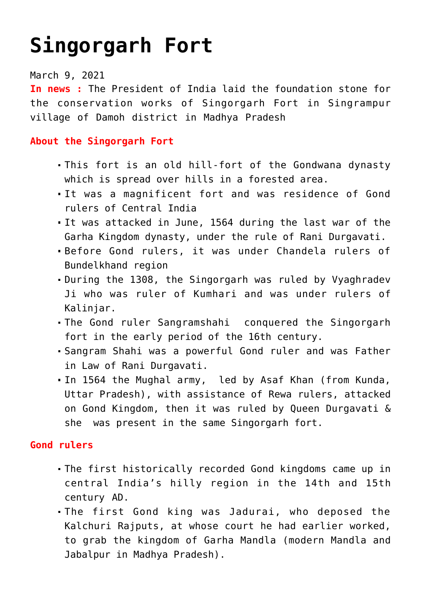## **[Singorgarh Fort](https://journalsofindia.com/singorgarh-fort/)**

## March 9, 2021

**In news :** The President of India laid the foundation stone for the conservation works of Singorgarh Fort in Singrampur village of Damoh district in Madhya Pradesh

## **About the Singorgarh Fort**

- This fort is an old hill-fort of the Gondwana dynasty which is spread over hills in a forested area.
- It was a magnificent fort and was residence of Gond rulers of Central India
- It was attacked in June, 1564 during the last war of the Garha Kingdom dynasty, under the rule of Rani Durgavati.
- Before Gond rulers, it was under Chandela rulers of Bundelkhand region
- During the 1308, the Singorgarh was ruled by Vyaghradev Ji who was ruler of Kumhari and was under rulers of Kalinjar.
- The Gond ruler Sangramshahi conquered the Singorgarh fort in the early period of the 16th century.
- Sangram Shahi was a powerful Gond ruler and was Father in Law of Rani Durgavati.
- In 1564 the Mughal army, led by Asaf Khan (from Kunda, Uttar Pradesh), with assistance of Rewa rulers, attacked on Gond Kingdom, then it was ruled by Queen Durgavati & she was present in the same Singorgarh fort.

## **Gond rulers**

- The first historically recorded Gond kingdoms came up in central India's hilly region in the 14th and 15th century AD.
- The first Gond king was Jadurai, who deposed the Kalchuri Rajputs, at whose court he had earlier worked, to grab the kingdom of Garha Mandla (modern Mandla and Jabalpur in Madhya Pradesh).